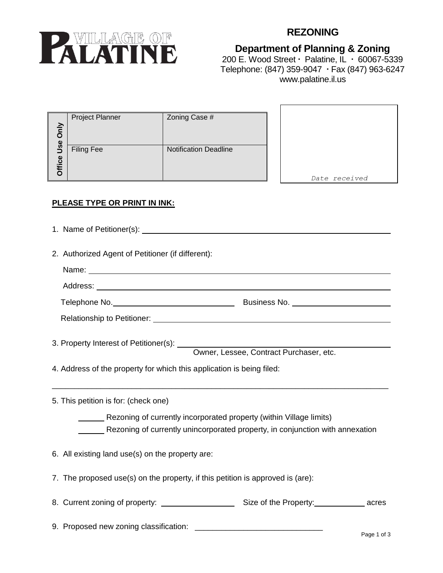

# **REZONING**

## **Department of Planning & Zoning** 200 E. Wood Street  $\cdot$  Palatine, IL  $\cdot$  60067-5339 Telephone: (847) 359-9047 Fax (847) 963-6247 www.palatine.il.us

| Only                 | <b>Project Planner</b> | Zoning Case #                |
|----------------------|------------------------|------------------------------|
| Use<br><b>Office</b> | <b>Filing Fee</b>      | <b>Notification Deadline</b> |

*Date received*

### **PLEASE TYPE OR PRINT IN INK:**

- 1. Name of Petitioner(s):
- 2. Authorized Agent of Petitioner (if different):

| Name: Name: Name: Name: Name: Name: Name: Name: Name: Name: Name: Name: Name: Name: Name: Name: Name: Name: Name: Name: Name: Name: Name: Name: Name: Name: Name: Name: Name: Name: Name: Name: Name: Name: Name: Name: Name: |  |
|-------------------------------------------------------------------------------------------------------------------------------------------------------------------------------------------------------------------------------|--|
|                                                                                                                                                                                                                               |  |
|                                                                                                                                                                                                                               |  |
|                                                                                                                                                                                                                               |  |
|                                                                                                                                                                                                                               |  |
|                                                                                                                                                                                                                               |  |
| 4. Address of the property for which this application is being filed:                                                                                                                                                         |  |
| 5. This petition is for: (check one)                                                                                                                                                                                          |  |
| Rezoning of currently incorporated property (within Village limits)                                                                                                                                                           |  |
| Rezoning of currently unincorporated property, in conjunction with annexation                                                                                                                                                 |  |
| 6. All existing land use(s) on the property are:                                                                                                                                                                              |  |
| 7. The proposed use(s) on the property, if this petition is approved is (are):                                                                                                                                                |  |
|                                                                                                                                                                                                                               |  |
| 9. Proposed new zoning classification:                                                                                                                                                                                        |  |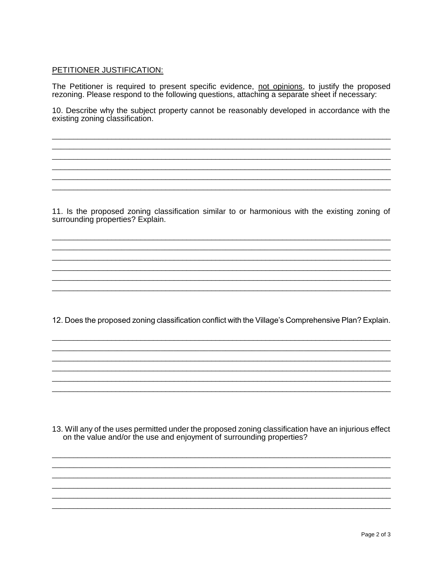#### PETITIONER JUSTIFICATION:

The Petitioner is required to present specific evidence, not opinions, to justify the proposed rezoning. Please respond to the following questions, attaching a separate sheet if necessary:

10. Describe why the subject property cannot be reasonably developed in accordance with the existing zoning classification.

11. Is the proposed zoning classification similar to or harmonious with the existing zoning of surrounding properties? Explain.

12. Does the proposed zoning classification conflict with the Village's Comprehensive Plan? Explain.

13. Will any of the uses permitted under the proposed zoning classification have an injurious effect on the value and/or the use and enjoyment of surrounding properties?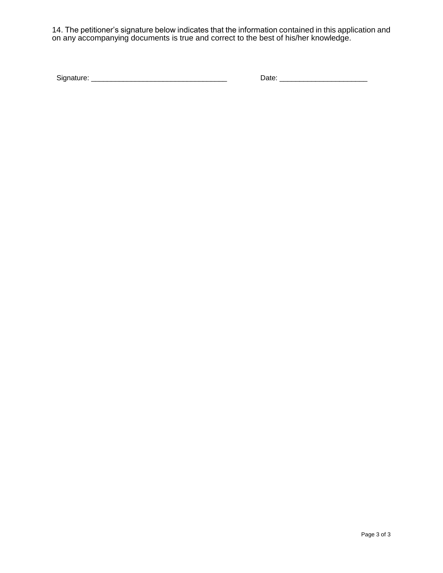14. The petitioner's signature below indicates that the information contained in this application and on any accompanying documents is true and correct to the best of his/her knowledge.

| Signature: |  |
|------------|--|
|            |  |

Signature: \_\_\_\_\_\_\_\_\_\_\_\_\_\_\_\_\_\_\_\_\_\_\_\_\_\_\_\_\_\_\_\_\_\_ Date: \_\_\_\_\_\_\_\_\_\_\_\_\_\_\_\_\_\_\_\_\_\_